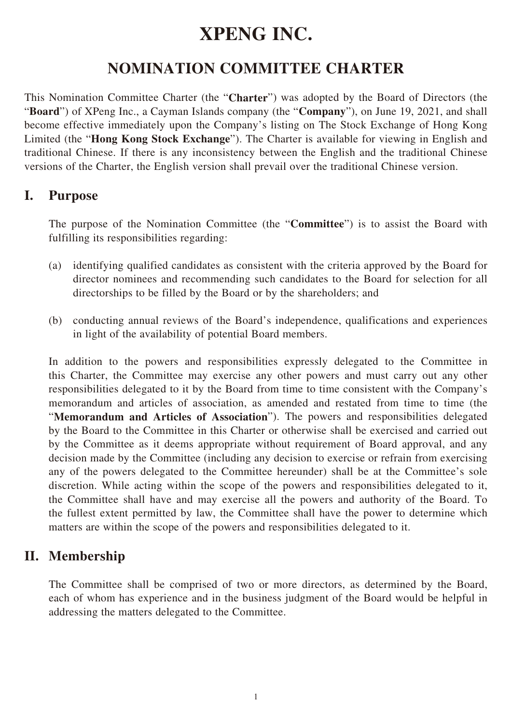# **XPENG INC.**

# **NOMINATION COMMITTEE CHARTER**

This Nomination Committee Charter (the "**Charter**") was adopted by the Board of Directors (the "**Board**") of XPeng Inc., a Cayman Islands company (the "**Company**"), on June 19, 2021, and shall become effective immediately upon the Company's listing on The Stock Exchange of Hong Kong Limited (the "**Hong Kong Stock Exchange**"). The Charter is available for viewing in English and traditional Chinese. If there is any inconsistency between the English and the traditional Chinese versions of the Charter, the English version shall prevail over the traditional Chinese version.

## **I. Purpose**

The purpose of the Nomination Committee (the "**Committee**") is to assist the Board with fulfilling its responsibilities regarding:

- (a) identifying qualified candidates as consistent with the criteria approved by the Board for director nominees and recommending such candidates to the Board for selection for all directorships to be filled by the Board or by the shareholders; and
- (b) conducting annual reviews of the Board's independence, qualifications and experiences in light of the availability of potential Board members.

In addition to the powers and responsibilities expressly delegated to the Committee in this Charter, the Committee may exercise any other powers and must carry out any other responsibilities delegated to it by the Board from time to time consistent with the Company's memorandum and articles of association, as amended and restated from time to time (the "**Memorandum and Articles of Association**"). The powers and responsibilities delegated by the Board to the Committee in this Charter or otherwise shall be exercised and carried out by the Committee as it deems appropriate without requirement of Board approval, and any decision made by the Committee (including any decision to exercise or refrain from exercising any of the powers delegated to the Committee hereunder) shall be at the Committee's sole discretion. While acting within the scope of the powers and responsibilities delegated to it, the Committee shall have and may exercise all the powers and authority of the Board. To the fullest extent permitted by law, the Committee shall have the power to determine which matters are within the scope of the powers and responsibilities delegated to it.

# **II. Membership**

The Committee shall be comprised of two or more directors, as determined by the Board, each of whom has experience and in the business judgment of the Board would be helpful in addressing the matters delegated to the Committee.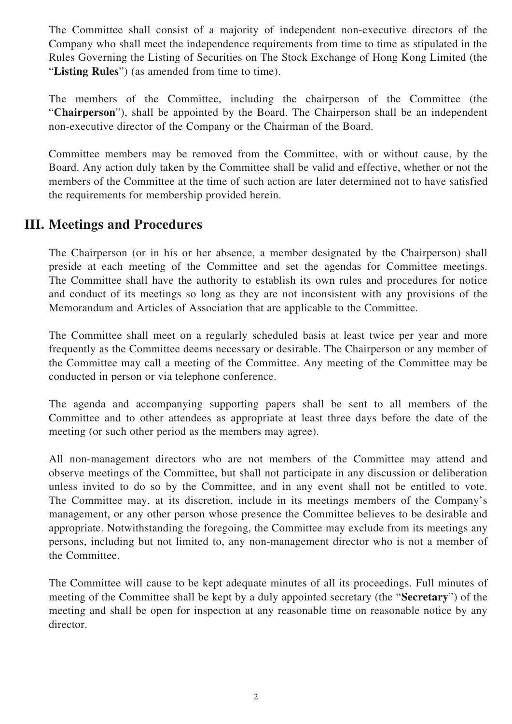The Committee shall consist of a majority of independent non-executive directors of the Company who shall meet the independence requirements from time to time as stipulated in the Rules Governing the Listing of Securities on The Stock Exchange of Hong Kong Limited (the "**Listing Rules**") (as amended from time to time).

The members of the Committee, including the chairperson of the Committee (the "**Chairperson**"), shall be appointed by the Board. The Chairperson shall be an independent non-executive director of the Company or the Chairman of the Board.

Committee members may be removed from the Committee, with or without cause, by the Board. Any action duly taken by the Committee shall be valid and effective, whether or not the members of the Committee at the time of such action are later determined not to have satisfied the requirements for membership provided herein.

# **III. Meetings and Procedures**

The Chairperson (or in his or her absence, a member designated by the Chairperson) shall preside at each meeting of the Committee and set the agendas for Committee meetings. The Committee shall have the authority to establish its own rules and procedures for notice and conduct of its meetings so long as they are not inconsistent with any provisions of the Memorandum and Articles of Association that are applicable to the Committee.

The Committee shall meet on a regularly scheduled basis at least twice per year and more frequently as the Committee deems necessary or desirable. The Chairperson or any member of the Committee may call a meeting of the Committee. Any meeting of the Committee may be conducted in person or via telephone conference.

The agenda and accompanying supporting papers shall be sent to all members of the Committee and to other attendees as appropriate at least three days before the date of the meeting (or such other period as the members may agree).

All non-management directors who are not members of the Committee may attend and observe meetings of the Committee, but shall not participate in any discussion or deliberation unless invited to do so by the Committee, and in any event shall not be entitled to vote. The Committee may, at its discretion, include in its meetings members of the Company's management, or any other person whose presence the Committee believes to be desirable and appropriate. Notwithstanding the foregoing, the Committee may exclude from its meetings any persons, including but not limited to, any non-management director who is not a member of the Committee.

The Committee will cause to be kept adequate minutes of all its proceedings. Full minutes of meeting of the Committee shall be kept by a duly appointed secretary (the "**Secretary**") of the meeting and shall be open for inspection at any reasonable time on reasonable notice by any director.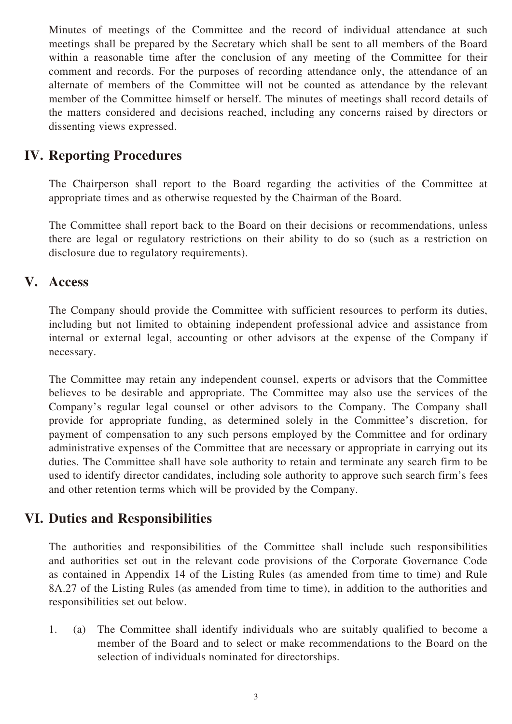Minutes of meetings of the Committee and the record of individual attendance at such meetings shall be prepared by the Secretary which shall be sent to all members of the Board within a reasonable time after the conclusion of any meeting of the Committee for their comment and records. For the purposes of recording attendance only, the attendance of an alternate of members of the Committee will not be counted as attendance by the relevant member of the Committee himself or herself. The minutes of meetings shall record details of the matters considered and decisions reached, including any concerns raised by directors or dissenting views expressed.

# **IV. Reporting Procedures**

The Chairperson shall report to the Board regarding the activities of the Committee at appropriate times and as otherwise requested by the Chairman of the Board.

The Committee shall report back to the Board on their decisions or recommendations, unless there are legal or regulatory restrictions on their ability to do so (such as a restriction on disclosure due to regulatory requirements).

#### **V. Access**

The Company should provide the Committee with sufficient resources to perform its duties, including but not limited to obtaining independent professional advice and assistance from internal or external legal, accounting or other advisors at the expense of the Company if necessary.

The Committee may retain any independent counsel, experts or advisors that the Committee believes to be desirable and appropriate. The Committee may also use the services of the Company's regular legal counsel or other advisors to the Company. The Company shall provide for appropriate funding, as determined solely in the Committee's discretion, for payment of compensation to any such persons employed by the Committee and for ordinary administrative expenses of the Committee that are necessary or appropriate in carrying out its duties. The Committee shall have sole authority to retain and terminate any search firm to be used to identify director candidates, including sole authority to approve such search firm's fees and other retention terms which will be provided by the Company.

## **VI. Duties and Responsibilities**

The authorities and responsibilities of the Committee shall include such responsibilities and authorities set out in the relevant code provisions of the Corporate Governance Code as contained in Appendix 14 of the Listing Rules (as amended from time to time) and Rule 8A.27 of the Listing Rules (as amended from time to time), in addition to the authorities and responsibilities set out below.

1. (a) The Committee shall identify individuals who are suitably qualified to become a member of the Board and to select or make recommendations to the Board on the selection of individuals nominated for directorships.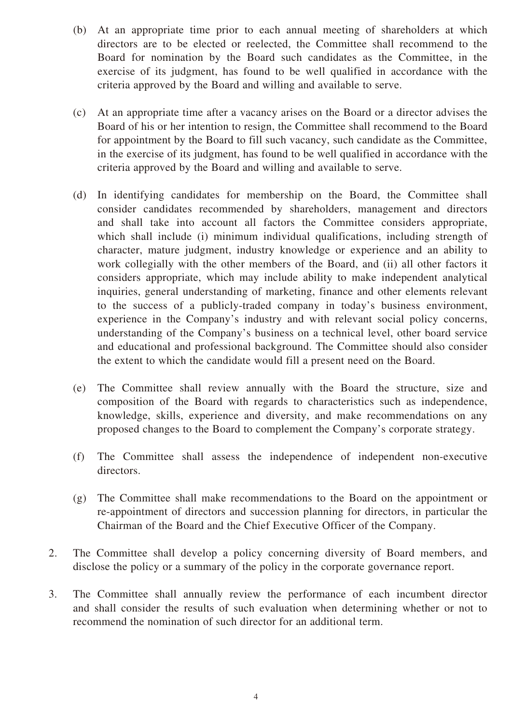- (b) At an appropriate time prior to each annual meeting of shareholders at which directors are to be elected or reelected, the Committee shall recommend to the Board for nomination by the Board such candidates as the Committee, in the exercise of its judgment, has found to be well qualified in accordance with the criteria approved by the Board and willing and available to serve.
- (c) At an appropriate time after a vacancy arises on the Board or a director advises the Board of his or her intention to resign, the Committee shall recommend to the Board for appointment by the Board to fill such vacancy, such candidate as the Committee, in the exercise of its judgment, has found to be well qualified in accordance with the criteria approved by the Board and willing and available to serve.
- (d) In identifying candidates for membership on the Board, the Committee shall consider candidates recommended by shareholders, management and directors and shall take into account all factors the Committee considers appropriate, which shall include (i) minimum individual qualifications, including strength of character, mature judgment, industry knowledge or experience and an ability to work collegially with the other members of the Board, and (ii) all other factors it considers appropriate, which may include ability to make independent analytical inquiries, general understanding of marketing, finance and other elements relevant to the success of a publicly-traded company in today's business environment, experience in the Company's industry and with relevant social policy concerns, understanding of the Company's business on a technical level, other board service and educational and professional background. The Committee should also consider the extent to which the candidate would fill a present need on the Board.
- (e) The Committee shall review annually with the Board the structure, size and composition of the Board with regards to characteristics such as independence, knowledge, skills, experience and diversity, and make recommendations on any proposed changes to the Board to complement the Company's corporate strategy.
- (f) The Committee shall assess the independence of independent non-executive directors.
- (g) The Committee shall make recommendations to the Board on the appointment or re-appointment of directors and succession planning for directors, in particular the Chairman of the Board and the Chief Executive Officer of the Company.
- 2. The Committee shall develop a policy concerning diversity of Board members, and disclose the policy or a summary of the policy in the corporate governance report.
- 3. The Committee shall annually review the performance of each incumbent director and shall consider the results of such evaluation when determining whether or not to recommend the nomination of such director for an additional term.